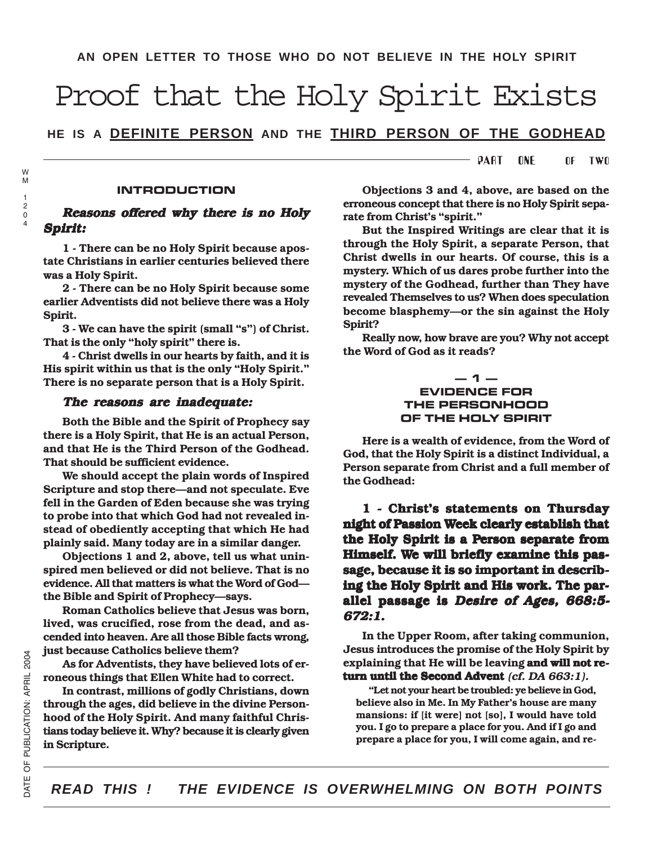# Proof that the Holy Spirit Exists

**HE IS A DEFINITE PERSON AND THE THIRD PERSON OF THE GODHEAD**

PART ONE OF TWO

#### **INTRODUCTION**

## Reasons offered why there is no Holy Spirit: Spirit:

1 - There can be no Holy Spirit because apostate Christians in earlier centuries believed there was a Holy Spirit.

2 - There can be no Holy Spirit because some earlier Adventists did not believe there was a Holy Spirit.

3 - We can have the spirit (small "s") of Christ. That is the only "holy spirit" there is.

4 - Christ dwells in our hearts by faith, and it is His spirit within us that is the only "Holy Spirit." There is no separate person that is a Holy Spirit.

#### The reasons are inadequate:

Both the Bible and the Spirit of Prophecy say there is a Holy Spirit, that He is an actual Person, and that He is the Third Person of the Godhead. That should be sufficient evidence.

We should accept the plain words of Inspired Scripture and stop there—and not speculate. Eve fell in the Garden of Eden because she was trying to probe into that which God had not revealed instead of obediently accepting that which He had plainly said. Many today are in a similar danger.

Objections 1 and 2, above, tell us what uninspired men believed or did not believe. That is no evidence. All that matters is what the Word of God the Bible and Spirit of Prophecy—says.

Roman Catholics believe that Jesus was born, lived, was crucified, rose from the dead, and ascended into heaven. Are all those Bible facts wrong, just because Catholics believe them?

As for Adventists, they have believed lots of erroneous things that Ellen White had to correct.

In contrast, millions of godly Christians, down through the ages, did believe in the divine Personhood of the Holy Spirit. And many faithful Christians today believe it. Why? because it is clearly given in Scripture.

Objections 3 and 4, above, are based on the erroneous concept that there is no Holy Spirit separate from Christ's "spirit."

But the Inspired Writings are clear that it is through the Holy Spirit, a separate Person, that Christ dwells in our hearts. Of course, this is a mystery. Which of us dares probe further into the mystery of the Godhead, further than They have revealed Themselves to us? When does speculation become blasphemy—or the sin against the Holy Spirit?

Really now, how brave are you? Why not accept the Word of God as it reads?

### **— 1 — EVIDENCE FOR THE PERSONHOOD OF THE HOLY SPIRIT**

Here is a wealth of evidence, from the Word of God, that the Holy Spirit is a distinct Individual, a Person separate from Christ and a full member of the Godhead:

1 - Christ's statements on Thursday night of Passion Week clearly establish that the Holy Spirit is a Person separate from Himself. We will briefly examine this passage, because it is so important in describing the Holy Spirit and His work. The parallel passage is Desire of Ages, 668:5-672:1.

In the Upper Room, after taking communion, Jesus introduces the promise of the Holy Spirit by explaining that He will be leaving and will not return until the Second Advent  $(cf. DA 663:1)$ .

"Let not your heart be troubled: ye believe in God, believe also in Me. In My Father's house are many mansions: if [it were] not [so], I would have told you. I go to prepare a place for you. And if I go and prepare a place for you, I will come again, and re-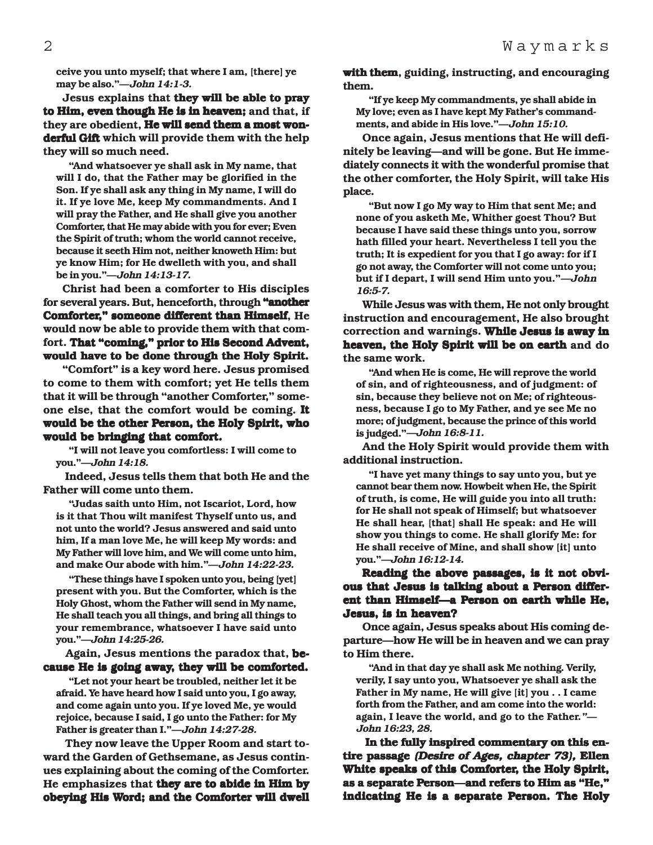ceive you unto myself; that where I am, [there] ye may be also."—John 14:1-3.

Jesus explains that they will be able to pray to Him, even though He is in heaven; and that, if they are obedient, He will send them a most wonderful Gift which will provide them with the help they will so much need.

"And whatsoever ye shall ask in My name, that will I do, that the Father may be glorified in the Son. If ye shall ask any thing in My name, I will do it. If ye love Me, keep My commandments. And I will pray the Father, and He shall give you another Comforter, that He may abide with you for ever; Even the Spirit of truth; whom the world cannot receive, because it seeth Him not, neither knoweth Him: but ye know Him; for He dwelleth with you, and shall be in you."—John 14:13-17.

Christ had been a comforter to His disciples for several years. But, henceforth, through "another Comforter," someone different than Himself, He would now be able to provide them with that comfort. That "coming," prior to His Second Advent, would have to be done through the Holy Spirit.

"Comfort" is a key word here. Jesus promised to come to them with comfort; yet He tells them that it will be through "another Comforter," someone else, that the comfort would be coming. It would be the other Person, the Holy Spirit, who would be bringing that comfort.

"I will not leave you comfortless: I will come to you."—John 14:18.

 Indeed, Jesus tells them that both He and the Father will come unto them.

"Judas saith unto Him, not Iscariot, Lord, how is it that Thou wilt manifest Thyself unto us, and not unto the world? Jesus answered and said unto him, If a man love Me, he will keep My words: and My Father will love him, and We will come unto him, and make Our abode with him."—John 14:22-23.

"These things have I spoken unto you, being [yet] present with you. But the Comforter, which is the Holy Ghost, whom the Father will send in My name, He shall teach you all things, and bring all things to your remembrance, whatsoever I have said unto you."—John 14:25-26.

 Again, Jesus mentions the paradox that, because He is going away, they will be comforted.

"Let not your heart be troubled, neither let it be afraid. Ye have heard how I said unto you, I go away, and come again unto you. If ye loved Me, ye would rejoice, because I said, I go unto the Father: for My Father is greater than I."—John 14:27-28.

 They now leave the Upper Room and start toward the Garden of Gethsemane, as Jesus continues explaining about the coming of the Comforter. He emphasizes that they are to abide in Him by obeying His Word; and the Comforter will dwell with them, guiding, instructing, and encouraging them.

"If ye keep My commandments, ye shall abide in My love; even as I have kept My Father's commandments, and abide in His love."—John 15:10.

Once again, Jesus mentions that He will definitely be leaving—and will be gone. But He immediately connects it with the wonderful promise that the other comforter, the Holy Spirit, will take His place.

"But now I go My way to Him that sent Me; and none of you asketh Me, Whither goest Thou? But because I have said these things unto you, sorrow hath filled your heart. Nevertheless I tell you the truth; It is expedient for you that I go away: for if I go not away, the Comforter will not come unto you; but if I depart, I will send Him unto you."—John 16:5-7.

While Jesus was with them, He not only brought instruction and encouragement, He also brought correction and warnings. While Jesus is away in heaven, the Holy Spirit will be on earth and do the same work.

"And when He is come, He will reprove the world of sin, and of righteousness, and of judgment: of sin, because they believe not on Me; of righteousness, because I go to My Father, and ye see Me no more; of judgment, because the prince of this world is judged."—John 16:8-11.

And the Holy Spirit would provide them with additional instruction.

"I have yet many things to say unto you, but ye cannot bear them now. Howbeit when He, the Spirit of truth, is come, He will guide you into all truth: for He shall not speak of Himself; but whatsoever He shall hear, [that] shall He speak: and He will show you things to come. He shall glorify Me: for He shall receive of Mine, and shall show [it] unto you."—John 16:12-14.

Reading the above passages, is it not obvious that Jesus is talking about a Person different than Himself—a Person on earth while He. Jesus, is in heaven?

Once again, Jesus speaks about His coming departure—how He will be in heaven and we can pray to Him there.

"And in that day ye shall ask Me nothing. Verily, verily, I say unto you, Whatsoever ye shall ask the Father in My name, He will give [it] you . . I came forth from the Father, and am come into the world: again, I leave the world, and go to the Father."— John 16:23, 28.

In the fully inspired commentary on this entire passage (Desire of Ages, chapter 73), Ellen White speaks of this Comforter, the Holy Spirit, as a separate Person—and refers to Him as "He," indicating He is a separate Person. The Holy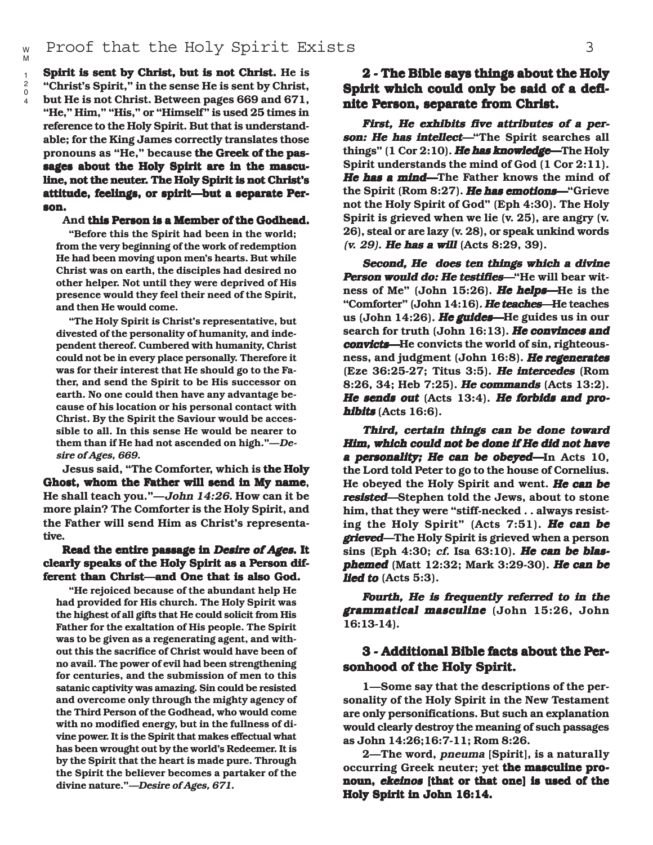Spirit is sent by Christ, but is not Christ. He is "Christ's Spirit," in the sense He is sent by Christ, but He is not Christ. Between pages 669 and 671, "He," Him," "His," or "Himself" is used 25 times in reference to the Holy Spirit. But that is understandable; for the King James correctly translates those pronouns as "He," because the Greek of the passages about the Holy Spirit are in the masculine, not the neuter. The Holy Spirit is not Christ's attitude, feelings, or spirit—but a separate Person.

#### And this Person is a Member of the Godhead.

"Before this the Spirit had been in the world; from the very beginning of the work of redemption He had been moving upon men's hearts. But while Christ was on earth, the disciples had desired no other helper. Not until they were deprived of His presence would they feel their need of the Spirit, and then He would come.

"The Holy Spirit is Christ's representative, but divested of the personality of humanity, and independent thereof. Cumbered with humanity, Christ could not be in every place personally. Therefore it was for their interest that He should go to the Father, and send the Spirit to be His successor on earth. No one could then have any advantage because of his location or his personal contact with Christ. By the Spirit the Saviour would be accessible to all. In this sense He would be nearer to them than if He had not ascended on high."—Desire of Ages, 669.

Jesus said, "The Comforter, which is the Holy Ghost, whom the Father will send in My name, He shall teach you."—John 14:26. How can it be more plain? The Comforter is the Holy Spirit, and the Father will send Him as Christ's representative.

#### Read the entire passage in Desire of Ages. It clearly speaks of the Holy Spirit as a Person different than Christ—and One that is also God.

"He rejoiced because of the abundant help He had provided for His church. The Holy Spirit was the highest of all gifts that He could solicit from His Father for the exaltation of His people. The Spirit was to be given as a regenerating agent, and without this the sacrifice of Christ would have been of no avail. The power of evil had been strengthening for centuries, and the submission of men to this satanic captivity was amazing. Sin could be resisted and overcome only through the mighty agency of the Third Person of the Godhead, who would come with no modified energy, but in the fullness of divine power. It is the Spirit that makes effectual what has been wrought out by the world's Redeemer. It is by the Spirit that the heart is made pure. Through the Spirit the believer becomes a partaker of the divine nature."—Desire of Ages, 671.

# 2 - The Bible says things about the Holy Spirit which could only be said of a definite Person, separate from Christ.

First, He exhibits five attributes of a person: He has intellect—"The Spirit searches all things"  $(1 Cor 2:10)$ . He has knowledge—The Holy Spirit understands the mind of God (1 Cor 2:11). He has a mind—The Father knows the mind of the Spirit (Rom 8:27). He has emotions—"Grieve not the Holy Spirit of God" (Eph 4:30). The Holy Spirit is grieved when we lie (v. 25), are angry (v. 26), steal or are lazy (v. 28), or speak unkind words  $(v. 29)$ . He has a will (Acts 8:29, 39).

Second, He does ten things which a divine Person would do: He testifies—"He will bear witness of Me" (John 15:26). He helps—He is the "Comforter" (John 14:16). He teaches-He teaches us (John 14:26). He guides—He guides us in our search for truth (John 16:13). He convinces and convicts—He convicts the world of sin, righteousness, and judgment (John 16:8). He regenerates  $(Exe 36:25-27;$  Titus 3:5). He intercedes  $(Rom)$ 8:26, 34; Heb 7:25). He commands (Acts 13:2). He sends out  $(Acts 13:4)$ . He forbids and prohibits (Acts 16:6).

Third, certain things can be done toward Him, which could not be done if He did not have a personality; He can be obeyed—In Acts 10, the Lord told Peter to go to the house of Cornelius. He obeyed the Holy Spirit and went. He can be resisted—Stephen told the Jews, about to stone him, that they were "stiff-necked . . always resisting the Holy Spirit" (Acts 7:51). He can be **grieved—The Holy Spirit is grieved when a person** sins (Eph 4:30; cf. Isa  $63:10$ ). He can be blasphemed (Matt 12:32; Mark 3:29-30). He can be lied to  $(Acts 5:3)$ .

Fourth, He is frequently referred to in the grammatical masculine (John 15:26, John 16:13-14).

## 3 - Additional Bible facts about the Personhood of the Holy Spirit.

1—Some say that the descriptions of the personality of the Holy Spirit in the New Testament are only personifications. But such an explanation would clearly destroy the meaning of such passages as John 14:26;16:7-11; Rom 8:26.

2—The word, *pneuma* [Spirit], is a naturally occurring Greek neuter; yet the masculine pronoun, ekeinos [that or that one] is used of the Holy Spirit in John 16:14.

M 1

> $\mathfrak{p}$ 0 4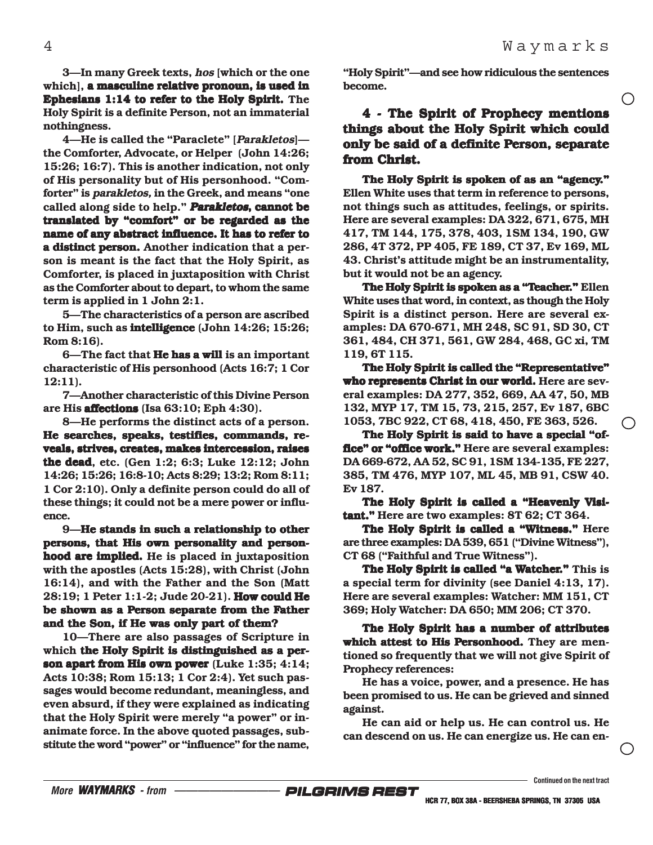$\bigcirc$ 

3—In many Greek texts, hos [which or the one which], a masculine relative pronoun, is used in Ephesians 1:14 to refer to the Holy Spirit. The Holy Spirit is a definite Person, not an immaterial nothingness.

4—He is called the "Paraclete" [Parakletos] the Comforter, Advocate, or Helper (John 14:26; 15:26; 16:7). This is another indication, not only of His personality but of His personhood. "Comforter" is parakletos, in the Greek, and means "one called along side to help." Parakletos, cannot be translated by "comfort" or be regarded as the name of any abstract influence. It has to refer to a distinct person. Another indication that a person is meant is the fact that the Holy Spirit, as Comforter, is placed in juxtaposition with Christ as the Comforter about to depart, to whom the same term is applied in 1 John 2:1.

5—The characteristics of a person are ascribed to Him, such as **intelligence** (John  $14:26$ ;  $15:26$ ; Rom 8:16).

6—The fact that **He has a will** is an important characteristic of His personhood (Acts 16:7; 1 Cor 12:11).

7—Another characteristic of this Divine Person are His **affections** (Isa  $63:10$ ; Eph  $4:30$ ).

8—He performs the distinct acts of a person. He searches, speaks, testifies, commands, reveals, strives, creates, makes intercession, raises the dead, etc. (Gen  $1:2$ ; 6:3; Luke  $12:12$ ; John 14:26; 15:26; 16:8-10; Acts 8:29; 13:2; Rom 8:11; 1 Cor 2:10). Only a definite person could do all of these things; it could not be a mere power or influence.

9—He stands in such a relationship to other persons, that His own personality and personhood are implied. He is placed in juxtaposition with the apostles (Acts 15:28), with Christ (John 16:14), and with the Father and the Son (Matt 28:19; 1 Peter 1:1-2; Jude 20-21). How could He be shown as a Person separate from the Father and the Son, if He was only part of them?

10—There are also passages of Scripture in which the Holy Spirit is distinguished as a person apart from His own power (Luke  $1:35; 4:14;$ Acts 10:38; Rom 15:13; 1 Cor 2:4). Yet such passages would become redundant, meaningless, and even absurd, if they were explained as indicating that the Holy Spirit were merely "a power" or inanimate force. In the above quoted passages, substitute the word "power" or "influence" for the name,

"Holy Spirit"—and see how ridiculous the sentences become.

# 4 - The Spirit of Prophecy mentions things about the Holy Spirit which could only be said of a definite Person, separate from Christ.

The Holy Spirit is spoken of as an "agency." Ellen White uses that term in reference to persons, not things such as attitudes, feelings, or spirits. Here are several examples: DA 322, 671, 675, MH 417, TM 144, 175, 378, 403, 1SM 134, 190, GW 286, 4T 372, PP 405, FE 189, CT 37, Ev 169, ML 43. Christ's attitude might be an instrumentality, but it would not be an agency.

The Holy Spirit is spoken as a "Teacher." Ellen White uses that word, in context, as though the Holy Spirit is a distinct person. Here are several examples: DA 670-671, MH 248, SC 91, SD 30, CT 361, 484, CH 371, 561, GW 284, 468, GC xi, TM 119, 6T 115.

The Holy Spirit is called the "Representative" who represents Christ in our world. Here are several examples: DA 277, 352, 669, AA 47, 50, MB 132, MYP 17, TM 15, 73, 215, 257, Ev 187, 6BC 1053, 7BC 922, CT 68, 418, 450, FE 363, 526.

The Holy Spirit is said to have a special "office" or "office work." Here are several examples: DA 669-672, AA 52, SC 91, 1SM 134-135, FE 227, 385, TM 476, MYP 107, ML 45, MB 91, CSW 40. Ev 187.

The Holy Spirit is called a "Heavenly Visitant." Here are two examples: 8T 62; CT 364.

The Holy Spirit is called a "Witness." Here are three examples: DA 539, 651 ("Divine Witness"), CT 68 ("Faithful and True Witness").

The Holy Spirit is called "a Watcher." This is a special term for divinity (see Daniel 4:13, 17). Here are several examples: Watcher: MM 151, CT 369; Holy Watcher: DA 650; MM 206; CT 370.

The Holy Spirit has a number of attributes which attest to His Personhood. They are mentioned so frequently that we will not give Spirit of Prophecy references:

He has a voice, power, and a presence. He has been promised to us. He can be grieved and sinned against.

He can aid or help us. He can control us. He can descend on us. He can energize us. He can en-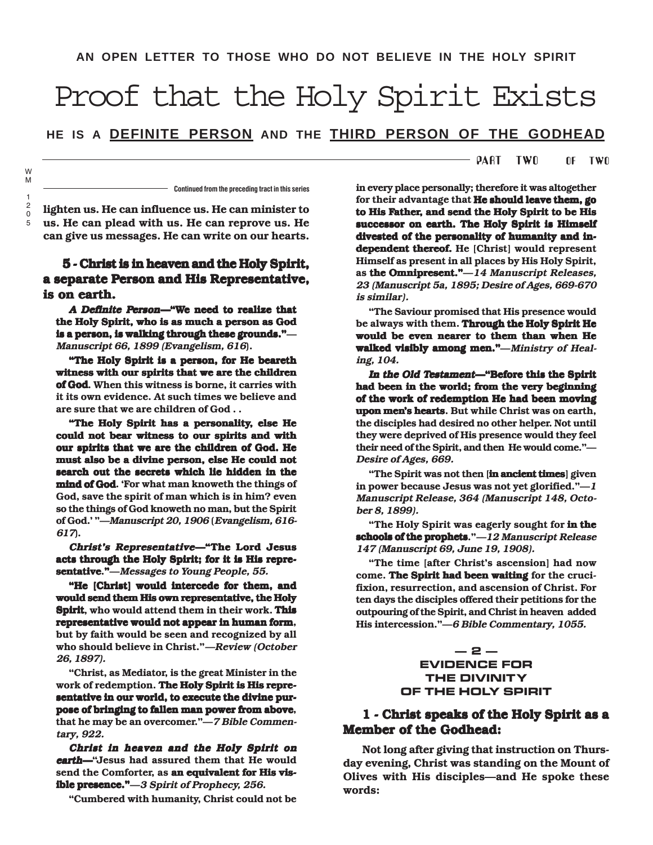# Proof that the Holy Spirit Exists

**HE IS A DEFINITE PERSON AND THE THIRD PERSON OF THE GODHEAD**

#### PART TWO OF TWO

**Continued from the preceding tract in this series**

lighten us. He can influence us. He can minister to us. He can plead with us. He can reprove us. He can give us messages. He can write on our hearts.

## 5 - Christ is in heaven and the Holy Spirit, a separate Person and His Representative, is on earth.

A Definite Person—"We need to realize that the Holy Spirit, who is as much a person as God is a person, is walking through these grounds."-Manuscript 66, 1899 (Evangelism, 616).

"The Holy Spirit is a person, for He beareth witness with our spirits that we are the children of God. When this witness is borne, it carries with it its own evidence. At such times we believe and are sure that we are children of God . .

"The Holy Spirit has a personality, else He could not bear witness to our spirits and with our spirits that we are the children of God. He must also be a divine person, else He could not search out the secrets which lie hidden in the mind of God. 'For what man knoweth the things of God, save the spirit of man which is in him? even so the things of God knoweth no man, but the Spirit of God.' "—Manuscript 20, 1906 (Evangelism, 616- 617).

Christ's Representative—"The Lord Jesus acts through the Holy Spirit; for it is His representative."—Messages to Young People, 55.

"He [Christ] would intercede for them, and would send them His own representative, the Holy Spirit, who would attend them in their work. This representative would not appear in human form, but by faith would be seen and recognized by all who should believe in Christ."—Review (October 26, 1897).

"Christ, as Mediator, is the great Minister in the work of redemption. The Holy Spirit is His representative in our world, to execute the divine purpose of bringing to fallen man power from above, that he may be an overcomer."—7 Bible Commentary, 922.

Christ in heaven and the Holy Spirit on earth—"Jesus had assured them that He would send the Comforter, as an equivalent for His visible presence." - 3 Spirit of Prophecy, 256.

"Cumbered with humanity, Christ could not be

in every place personally; therefore it was altogether for their advantage that He should leave them, go to His Father, and send the Holy Spirit to be His successor on earth. The Holy Spirit is Himself divested of the personality of humanity and independent thereof. He [Christ] would represent Himself as present in all places by His Holy Spirit, as the Omnipresent." $-14$  Manuscript Releases, 23 (Manuscript 5a, 1895; Desire of Ages, 669-670 is similar).

"The Saviour promised that His presence would be always with them. Through the Holy Spirit He would be even nearer to them than when He walked visibly among men."-Ministry of Healing, 104.

In the Old Testament—"Before this the Spirit had been in the world; from the very beginning of the work of redemption He had been moving upon men's hearts. But while Christ was on earth, the disciples had desired no other helper. Not until they were deprived of His presence would they feel their need of the Spirit, and then He would come."— Desire of Ages, 669.

"The Spirit was not then [in ancient times] given in power because Jesus was not yet glorified."—<sup>1</sup> Manuscript Release, 364 (Manuscript 148, October 8, 1899).

"The Holy Spirit was eagerly sought for in the schools of the prophets." $-12$  Manuscript Release 147 (Manuscript 69, June 19, 1908).

"The time [after Christ's ascension] had now come. The Spirit had been waiting for the crucifixion, resurrection, and ascension of Christ. For ten days the disciples offered their petitions for the outpouring of the Spirit, and Christ in heaven added His intercession."—6 Bible Commentary, 1055.

**— 2 —**

## **EVIDENCE FOR THE DIVINITY OF THE HOLY SPIRIT**

## 1 - Christ speaks of the Holy Spirit as a Member of the Godhead:

Not long after giving that instruction on Thursday evening, Christ was standing on the Mount of Olives with His disciples—and He spoke these words: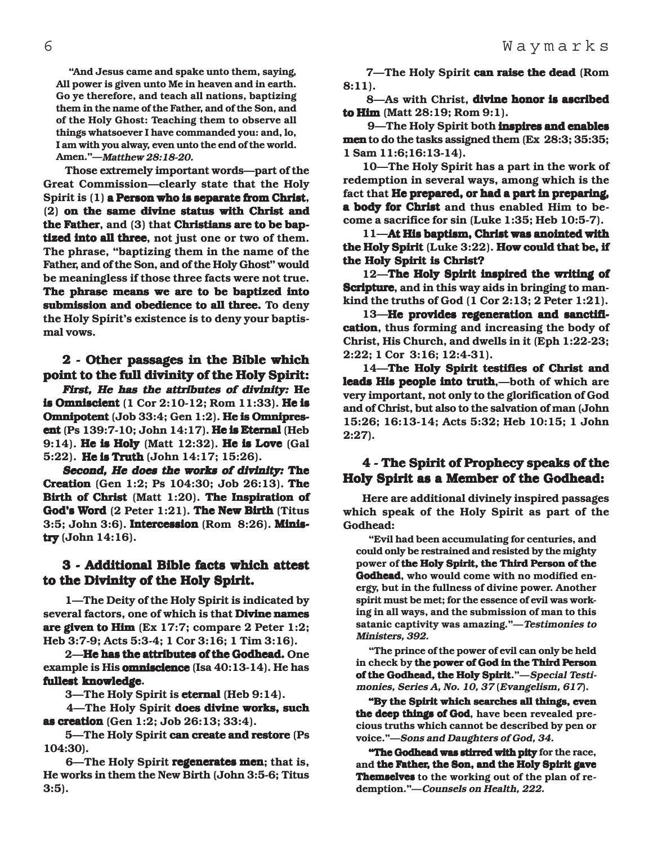"And Jesus came and spake unto them, saying, All power is given unto Me in heaven and in earth. Go ye therefore, and teach all nations, baptizing them in the name of the Father, and of the Son, and of the Holy Ghost: Teaching them to observe all things whatsoever I have commanded you: and, lo, I am with you alway, even unto the end of the world. Amen."—Matthew 28:18-20.

 Those extremely important words—part of the Great Commission—clearly state that the Holy Spirit is (1) a Person who is separate from Christ, (2) on the same divine status with Christ and the Father, and  $(3)$  that Christians are to be baptized into all three, not just one or two of them. The phrase, "baptizing them in the name of the Father, and of the Son, and of the Holy Ghost" would be meaningless if those three facts were not true. The phrase means we are to be baptized into submission and obedience to all three. To deny the Holy Spirit's existence is to deny your baptismal vows.

# 2 - Other passages in the Bible which point to the full divinity of the Holy Spirit:

First, He has the attributes of divinity: He is Omniscient (1 Cor 2:10-12; Rom 11:33). He is Omnipotent (Job 33:4; Gen 1:2). He is Omnipresent (Ps  $139:7-10$ ; John  $14:17$ ). He is Eternal (Heb  $9:14$ ). He is Holy (Matt 12:32). He is Love (Gal 5:22). He is Truth (John 14:17; 15:26).

Second, He does the works of divinity: The **Creation** (Gen 1:2; Ps  $104:30$ ; Job  $26:13$ ). The Birth of Christ (Matt 1:20). The Inspiration of God's Word  $(2$  Peter 1:21). The New Birth (Titus  $3:5$ ; John  $3:6$ ). Intercession (Rom  $8:26$ ). Ministry  $(John 14:16)$ .

# 3 - Additional Bible facts which attest to the Divinity of the Holy Spirit.

 1—The Deity of the Holy Spirit is indicated by several factors, one of which is that **Divine names** are given to Him  $(Ex\ 17:7; \text{ compare } 2 \text{ Peter } 1:2;$ Heb 3:7-9; Acts 5:3-4; 1 Cor 3:16; 1 Tim 3:16).

2—He has the attributes of the Godhead. One example is His **omniscience** (Isa  $40:13-14$ ). He has fullest knowledge.

3—The Holy Spirit is eternal (Heb 9:14).

4—The Holy Spirit does divine works, such as creation (Gen 1:2; Job 26:13; 33:4).

5—The Holy Spirit can create and restore (Ps 104:30).

6—The Holy Spirit regenerates men; that is, He works in them the New Birth (John 3:5-6; Titus 3:5).

7-The Holy Spirit can raise the dead (Rom 8:11).

 8—As with Christ, divine honor is ascribed to  $\lim$  (Matt 28:19; Rom 9:1).

9—The Holy Spirit both **inspires and enables** men to do the tasks assigned them (Ex 28:3; 35:35; 1 Sam 11:6;16:13-14).

10—The Holy Spirit has a part in the work of redemption in several ways, among which is the fact that He prepared, or had a part in preparing, a body for Christ and thus enabled Him to become a sacrifice for sin (Luke 1:35; Heb 10:5-7).

11—At His baptism, Christ was anointed with the Holy Spirit (Luke  $3:22$ ). How could that be, if the Holy Spirit is Christ?

12—The Holy Spirit inspired the writing of Scripture, and in this way aids in bringing to mankind the truths of God (1 Cor 2:13; 2 Peter 1:21).

13—He provides regeneration and sanctification, thus forming and increasing the body of Christ, His Church, and dwells in it (Eph 1:22-23; 2:22; 1 Cor 3:16; 12:4-31).

14—The Holy Spirit testifies of Christ and leads His people into truth,—both of which are very important, not only to the glorification of God and of Christ, but also to the salvation of man (John 15:26; 16:13-14; Acts 5:32; Heb 10:15; 1 John 2:27).

## 4 - The Spirit of Prophecy speaks of the Holy Spirit as a Member of the Godhead:

Here are additional divinely inspired passages which speak of the Holy Spirit as part of the Godhead:

"Evil had been accumulating for centuries, and could only be restrained and resisted by the mighty power of the Holy Spirit, the Third Person of the Godhead, who would come with no modified energy, but in the fullness of divine power. Another spirit must be met; for the essence of evil was working in all ways, and the submission of man to this satanic captivity was amazing."—Testimonies to Ministers, 392.

"The prince of the power of evil can only be held in check by the power of God in the Third Person of the Godhead, the Holy Spirit."-Special Testimonies, Series A, No. 10, 37 (Evangelism, 617).

"By the Spirit which searches all things, even the deep things of God, have been revealed precious truths which cannot be described by pen or voice."—Sons and Daughters of God, 34.

"The Godhead was stirred with pity for the race, and the Father, the Son, and the Holy Spirit gave Themselves to the working out of the plan of redemption."—Counsels on Health, 222.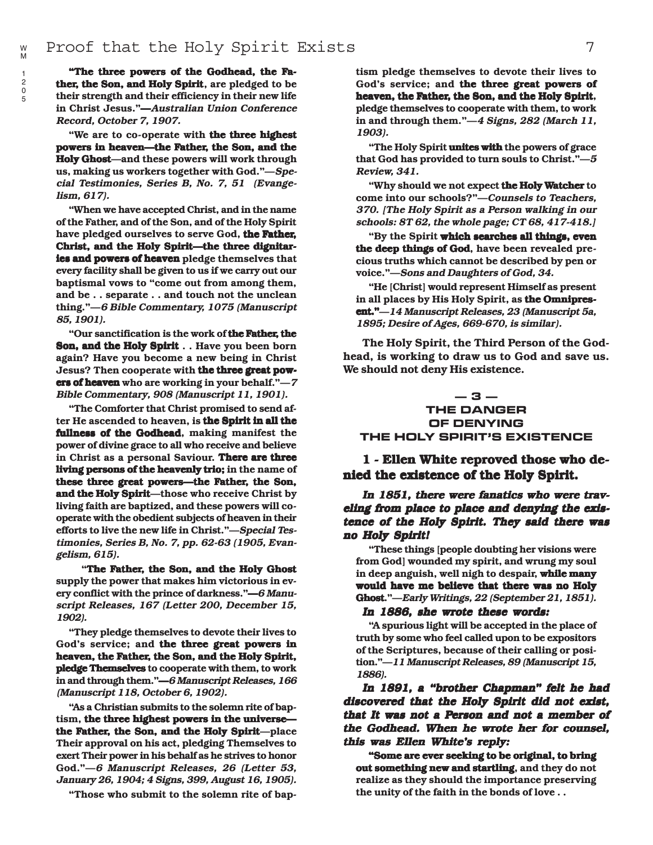"The three powers of the Godhead, the Father, the Son, and Holy Spirit, are pledged to be their strength and their efficiency in their new life in Christ Jesus."—Australian Union Conference Record, October 7, 1907.

"We are to co-operate with the three highest powers in heaven—the Father, the Son, and the Holy Ghost—and these powers will work through us, making us workers together with God."—Special Testimonies, Series B, No. 7, 51 (Evangelism, 617).

"When we have accepted Christ, and in the name of the Father, and of the Son, and of the Holy Spirit have pledged ourselves to serve God, the Father, Christ, and the Holy Spirit—the three dignitaries and powers of heaven pledge themselves that every facility shall be given to us if we carry out our baptismal vows to "come out from among them, and be . . separate . . and touch not the unclean thing."—6 Bible Commentary, 1075 (Manuscript 85, 1901).

"Our sanctification is the work of the Father, the Son, and the Holy Spirit . . Have you been born again? Have you become a new being in Christ Jesus? Then cooperate with the three great powers of heaven who are working in your behalf." $-7$ Bible Commentary, 908 (Manuscript 11, 1901).

"The Comforter that Christ promised to send after He ascended to heaven, is the Spirit in all the fullness of the Godhead, making manifest the power of divine grace to all who receive and believe in Christ as a personal Saviour. There are three living persons of the heavenly trio; in the name of these three great powers—the Father, the Son, and the Holy Spirit—those who receive Christ by living faith are baptized, and these powers will cooperate with the obedient subjects of heaven in their efforts to live the new life in Christ."—Special Testimonies, Series B, No. 7, pp. 62-63 (1905, Evangelism, 615).

 "The Father, the Son, and the Holy Ghost supply the power that makes him victorious in every conflict with the prince of darkness."—6 Manuscript Releases, 167 (Letter 200, December 15, 1902).

"They pledge themselves to devote their lives to God's service; and the three great powers in heaven, the Father, the Son, and the Holy Spirit, pledge Themselves to cooperate with them, to work in and through them."—6 Manuscript Releases, 166 (Manuscript 118, October 6, 1902).

"As a Christian submits to the solemn rite of baptism, the three highest powers in the universe the Father, the Son, and the Holy Spirit—place Their approval on his act, pledging Themselves to exert Their power in his behalf as he strives to honor God."—6 Manuscript Releases, 26 (Letter 53, January 26, 1904; 4 Signs, 399, August 16, 1905).

"Those who submit to the solemn rite of bap-

tism pledge themselves to devote their lives to God's service; and the three great powers of heaven, the Father, the Son, and the Holy Spirit, pledge themselves to cooperate with them, to work in and through them."—4 Signs, 282 (March 11, 1903).

"The Holy Spirit unites with the powers of grace that God has provided to turn souls to Christ."—5 Review, 341.

"Why should we not expect **the Holy Watcher** to come into our schools?"—Counsels to Teachers, 370. [The Holy Spirit as a Person walking in our schools: 8T 62, the whole page; CT 68, 417-418.]

"By the Spirit which searches all things, even the deep things of God, have been revealed precious truths which cannot be described by pen or voice."—Sons and Daughters of God, 34.

"He [Christ] would represent Himself as present in all places by His Holy Spirit, as the Omnipresent."—14 Manuscript Releases, 23 (Manuscript 5a, 1895; Desire of Ages, 669-670, is similar).

The Holy Spirit, the Third Person of the Godhead, is working to draw us to God and save us. We should not deny His existence.

### **— 3 — THE DANGER OF DENYING THE HOLY SPIRIT'S EXISTENCE**

1 - Ellen White reproved those who denied the existence of the Holy Spirit.

#### In 1851, there were fanatics who were traveling from place to place and denying the existence of the Holy Spirit. They said there was no Holy Spirit!

"These things [people doubting her visions were from God] wounded my spirit, and wrung my soul in deep anguish, well nigh to despair, while many would have me believe that there was no Holy Ghost."-Early Writings, 22 (September 21, 1851).

## In 1886, she wrote these words:

"A spurious light will be accepted in the place of truth by some who feel called upon to be expositors of the Scriptures, because of their calling or position."—11 Manuscript Releases, 89 (Manuscript 15, 1886).

In 1891, a "brother Chapman" felt he had discovered that the Holy Spirit did not exist, that It was not a Person and not a member of the Godhead. When he wrote her for counsel, this was Ellen White's reply:

"Some are ever seeking to be original, to bring out something new and startling, and they do not realize as they should the importance preserving the unity of the faith in the bonds of love . .